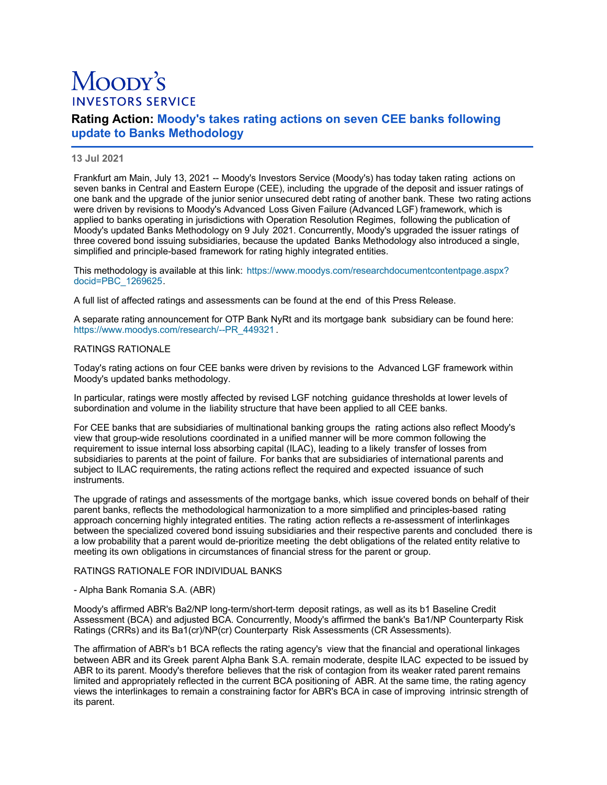# Moopy's **INVESTORS SERVICE**

# **Rating Action: Moody's takes rating actions on seven CEE banks following update to Banks Methodology**

# **13 Jul 2021**

Frankfurt am Main, July 13, 2021 -- Moody's Investors Service (Moody's) has today taken rating actions on seven banks in Central and Eastern Europe (CEE), including the upgrade of the deposit and issuer ratings of one bank and the upgrade of the junior senior unsecured debt rating of another bank. These two rating actions were driven by revisions to Moody's Advanced Loss Given Failure (Advanced LGF) framework. which is applied to banks operating in jurisdictions with Operation Resolution Regimes, following the publication of Moody's updated Banks Methodology on 9 July 2021. Concurrently, Moody's upgraded the issuer ratings of three covered bond issuing subsidiaries, because the updated Banks Methodology also introduced a single, simplified and principle-based framework for rating highly integrated entities.

[This methodology is available at this link: https://www.moodys.com/researchdocumentcontentpage.aspx?](https://www.moodys.com/researchdocumentcontentpage.aspx?docid=PBC_1269625) docid=PBC\_1269625.

A full list of affected ratings and assessments can be found at the end of this Press Release.

A separate rating announcement for OTP Bank NyRt and its mortgage bank subsidiary can be found here: [https://www.moodys.com/research/--PR\\_449321](https://www.moodys.com/research/--PR_449321).

# RATINGS RATIONALE

Today's rating actions on four CEE banks were driven by revisions to the Advanced LGF framework within Moody's updated banks methodology.

In particular, ratings were mostly affected by revised LGF notching guidance thresholds at lower levels of subordination and volume in the liability structure that have been applied to all CEE banks.

For CEE banks that are subsidiaries of multinational banking groups the rating actions also reflect Moody's view that group-wide resolutions coordinated in a unified manner will be more common following the requirement to issue internal loss absorbing capital (ILAC), leading to a likely transfer of losses from subsidiaries to parents at the point of failure. For banks that are subsidiaries of international parents and subject to ILAC requirements, the rating actions reflect the required and expected issuance of such instruments.

The upgrade of ratings and assessments of the mortgage banks, which issue covered bonds on behalf of their parent banks, reflects the methodological harmonization to a more simplified and principles-based rating approach concerning highly integrated entities. The rating action reflects a re-assessment of interlinkages between the specialized covered bond issuing subsidiaries and their respective parents and concluded there is a low probability that a parent would de-prioritize meeting the debt obligations of the related entity relative to meeting its own obligations in circumstances of financial stress for the parent or group.

#### RATINGS RATIONALE FOR INDIVIDUAL BANKS

#### - Alpha Bank Romania S.A. (ABR)

Moody's affirmed ABR's Ba2/NP long-term/short-term deposit ratings, as well as its b1 Baseline Credit Assessment (BCA) and adjusted BCA. Concurrently, Moody's affirmed the bank's Ba1/NP Counterparty Risk Ratings (CRRs) and its Ba1(cr)/NP(cr) Counterparty Risk Assessments (CR Assessments).

The affirmation of ABR's b1 BCA reflects the rating agency's view that the financial and operational linkages between ABR and its Greek parent Alpha Bank S.A. remain moderate, despite ILAC expected to be issued by ABR to its parent. Moody's therefore believes that the risk of contagion from its weaker rated parent remains limited and appropriately reflected in the current BCA positioning of ABR. At the same time, the rating agency views the interlinkages to remain a constraining factor for ABR's BCA in case of improving intrinsic strength of its parent.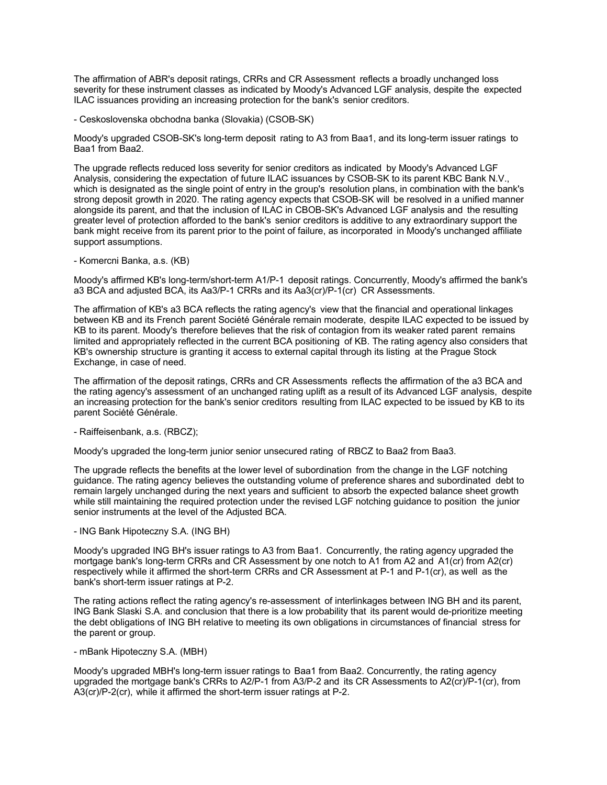The affirmation of ABR's deposit ratings, CRRs and CR Assessment reflects a broadly unchanged loss severity for these instrument classes as indicated by Moody's Advanced LGF analysis, despite the expected ILAC issuances providing an increasing protection for the bank's senior creditors.

- Ceskoslovenska obchodna banka (Slovakia) (CSOB-SK)

Moody's upgraded CSOB-SK's long-term deposit rating to A3 from Baa1, and its long-term issuer ratings to Baa1 from Baa2.

The upgrade reflects reduced loss severity for senior creditors as indicated by Moody's Advanced LGF Analysis, considering the expectation of future ILAC issuances by CSOB-SK to its parent KBC Bank N.V., which is designated as the single point of entry in the group's resolution plans, in combination with the bank's strong deposit growth in 2020. The rating agency expects that CSOB-SK will be resolved in a unified manner alongside its parent, and that the inclusion of ILAC in CBOB-SK's Advanced LGF analysis and the resulting greater level of protection afforded to the bank's senior creditors is additive to any extraordinary support the bank might receive from its parent prior to the point of failure, as incorporated in Moody's unchanged affiliate support assumptions.

- Komercni Banka, a.s. (KB)

Moody's affirmed KB's long-term/short-term A1/P-1 deposit ratings. Concurrently, Moody's affirmed the bank's a3 BCA and adjusted BCA, its Aa3/P-1 CRRs and its Aa3(cr)/P-1(cr) CR Assessments.

The affirmation of KB's a3 BCA reflects the rating agency's view that the financial and operational linkages between KB and its French parent Société Générale remain moderate, despite ILAC expected to be issued by KB to its parent. Moody's therefore believes that the risk of contagion from its weaker rated parent remains limited and appropriately reflected in the current BCA positioning of KB. The rating agency also considers that KB's ownership structure is granting it access to external capital through its listing at the Prague Stock Exchange, in case of need.

The affirmation of the deposit ratings, CRRs and CR Assessments reflects the affirmation of the a3 BCA and the rating agency's assessment of an unchanged rating uplift as a result of its Advanced LGF analysis, despite an increasing protection for the bank's senior creditors resulting from ILAC expected to be issued by KB to its parent Société Générale.

- Raiffeisenbank, a.s. (RBCZ);

Moody's upgraded the long-term junior senior unsecured rating of RBCZ to Baa2 from Baa3.

The upgrade reflects the benefits at the lower level of subordination from the change in the LGF notching guidance. The rating agency believes the outstanding volume of preference shares and subordinated debt to remain largely unchanged during the next years and sufficient to absorb the expected balance sheet growth while still maintaining the required protection under the revised LGF notching guidance to position the junior senior instruments at the level of the Adjusted BCA.

#### - ING Bank Hipoteczny S.A. (ING BH)

Moody's upgraded ING BH's issuer ratings to A3 from Baa1. Concurrently, the rating agency upgraded the mortgage bank's long-term CRRs and CR Assessment by one notch to A1 from A2 and A1(cr) from A2(cr) respectively while it affirmed the short-term CRRs and CR Assessment at P-1 and P-1(cr), as well as the bank's short-term issuer ratings at P-2.

The rating actions reflect the rating agency's re-assessment of interlinkages between ING BH and its parent, ING Bank Slaski S.A. and conclusion that there is a low probability that its parent would de-prioritize meeting the debt obligations of ING BH relative to meeting its own obligations in circumstances of financial stress for the parent or group.

#### - mBank Hipoteczny S.A. (MBH)

Moody's upgraded MBH's long-term issuer ratings to Baa1 from Baa2. Concurrently, the rating agency upgraded the mortgage bank's CRRs to A2/P-1 from A3/P-2 and its CR Assessments to A2(cr)/P-1(cr), from A3(cr)/P-2(cr), while it affirmed the short-term issuer ratings at P-2.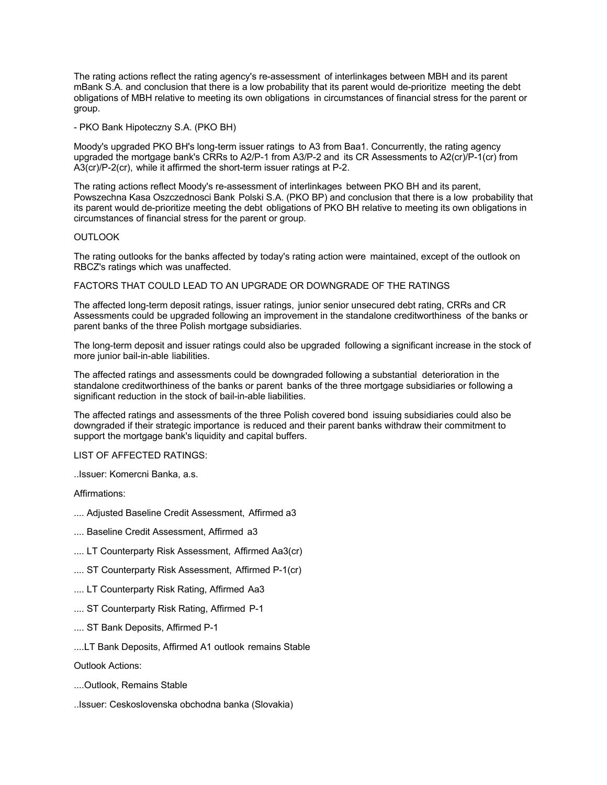The rating actions reflect the rating agency's re-assessment of interlinkages between MBH and its parent mBank S.A. and conclusion that there is a low probability that its parent would de-prioritize meeting the debt obligations of MBH relative to meeting its own obligations in circumstances of financial stress for the parent or group.

#### - PKO Bank Hipoteczny S.A. (PKO BH)

Moody's upgraded PKO BH's long-term issuer ratings to A3 from Baa1. Concurrently, the rating agency upgraded the mortgage bank's CRRs to A2/P-1 from A3/P-2 and its CR Assessments to A2(cr)/P-1(cr) from A3(cr)/P-2(cr), while it affirmed the short-term issuer ratings at P-2.

The rating actions reflect Moody's re-assessment of interlinkages between PKO BH and its parent, Powszechna Kasa Oszczednosci Bank Polski S.A. (PKO BP) and conclusion that there is a low probability that its parent would de-prioritize meeting the debt obligations of PKO BH relative to meeting its own obligations in circumstances of financial stress for the parent or group.

#### **OUTLOOK**

The rating outlooks for the banks affected by today's rating action were maintained, except of the outlook on RBCZ's ratings which was unaffected.

#### FACTORS THAT COULD LEAD TO AN UPGRADE OR DOWNGRADE OF THE RATINGS

The affected long-term deposit ratings, issuer ratings, junior senior unsecured debt rating, CRRs and CR Assessments could be upgraded following an improvement in the standalone creditworthiness of the banks or parent banks of the three Polish mortgage subsidiaries.

The long-term deposit and issuer ratings could also be upgraded following a significant increase in the stock of more junior bail-in-able liabilities.

The affected ratings and assessments could be downgraded following a substantial deterioration in the standalone creditworthiness of the banks or parent banks of the three mortgage subsidiaries or following a significant reduction in the stock of bail-in-able liabilities.

The affected ratings and assessments of the three Polish covered bond issuing subsidiaries could also be downgraded if their strategic importance is reduced and their parent banks withdraw their commitment to support the mortgage bank's liquidity and capital buffers.

#### LIST OF AFFECTED RATINGS:

..Issuer: Komercni Banka, a.s.

Affirmations:

- .... Adjusted Baseline Credit Assessment, Affirmed a3
- .... Baseline Credit Assessment, Affirmed a3
- .... LT Counterparty Risk Assessment, Affirmed Aa3(cr)
- .... ST Counterparty Risk Assessment, Affirmed P-1(cr)
- .... LT Counterparty Risk Rating, Affirmed Aa3
- .... ST Counterparty Risk Rating, Affirmed P-1
- .... ST Bank Deposits, Affirmed P-1
- ....LT Bank Deposits, Affirmed A1 outlook remains Stable

Outlook Actions:

- ....Outlook, Remains Stable
- ..Issuer: Ceskoslovenska obchodna banka (Slovakia)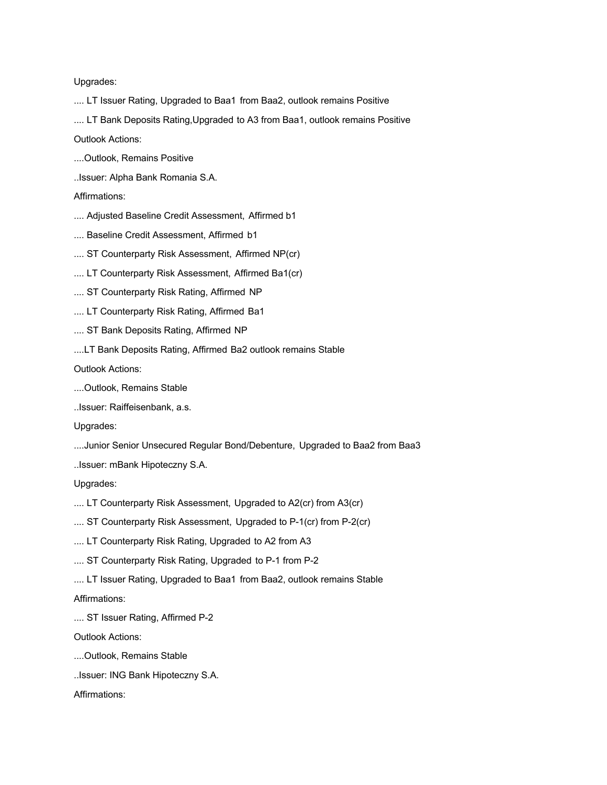Upgrades:

- .... LT Issuer Rating, Upgraded to Baa1 from Baa2, outlook remains Positive
- .... LT Bank Deposits Rating,Upgraded to A3 from Baa1, outlook remains Positive

Outlook Actions:

- ....Outlook, Remains Positive
- ..Issuer: Alpha Bank Romania S.A.

Affirmations:

.... Adjusted Baseline Credit Assessment, Affirmed b1

- .... Baseline Credit Assessment, Affirmed b1
- .... ST Counterparty Risk Assessment, Affirmed NP(cr)
- .... LT Counterparty Risk Assessment, Affirmed Ba1(cr)
- .... ST Counterparty Risk Rating, Affirmed NP
- .... LT Counterparty Risk Rating, Affirmed Ba1
- .... ST Bank Deposits Rating, Affirmed NP
- ....LT Bank Deposits Rating, Affirmed Ba2 outlook remains Stable

Outlook Actions:

....Outlook, Remains Stable

..Issuer: Raiffeisenbank, a.s.

Upgrades:

....Junior Senior Unsecured Regular Bond/Debenture, Upgraded to Baa2 from Baa3

..Issuer: mBank Hipoteczny S.A.

Upgrades:

- .... LT Counterparty Risk Assessment, Upgraded to A2(cr) from A3(cr)
- .... ST Counterparty Risk Assessment, Upgraded to P-1(cr) from P-2(cr)
- .... LT Counterparty Risk Rating, Upgraded to A2 from A3
- .... ST Counterparty Risk Rating, Upgraded to P-1 from P-2
- .... LT Issuer Rating, Upgraded to Baa1 from Baa2, outlook remains Stable

Affirmations:

.... ST Issuer Rating, Affirmed P-2

Outlook Actions:

- ....Outlook, Remains Stable
- ..Issuer: ING Bank Hipoteczny S.A.

Affirmations: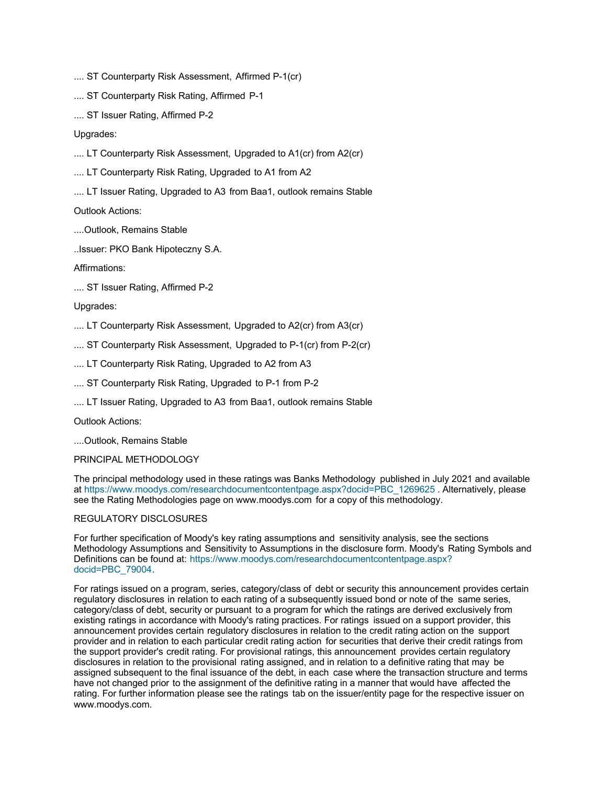- .... ST Counterparty Risk Assessment, Affirmed P-1(cr)
- .... ST Counterparty Risk Rating, Affirmed P-1
- .... ST Issuer Rating, Affirmed P-2

#### Upgrades:

- .... LT Counterparty Risk Assessment, Upgraded to A1(cr) from A2(cr)
- .... LT Counterparty Risk Rating, Upgraded to A1 from A2
- .... LT Issuer Rating, Upgraded to A3 from Baa1, outlook remains Stable

#### Outlook Actions:

- ....Outlook, Remains Stable
- ..Issuer: PKO Bank Hipoteczny S.A.

## Affirmations:

.... ST Issuer Rating, Affirmed P-2

## Upgrades:

- .... LT Counterparty Risk Assessment, Upgraded to A2(cr) from A3(cr)
- .... ST Counterparty Risk Assessment, Upgraded to P-1(cr) from P-2(cr)
- .... LT Counterparty Risk Rating, Upgraded to A2 from A3
- .... ST Counterparty Risk Rating, Upgraded to P-1 from P-2
- .... LT Issuer Rating, Upgraded to A3 from Baa1, outlook remains Stable

#### Outlook Actions:

....Outlook, Remains Stable

#### PRINCIPAL METHODOLOGY

The principal methodology used in these ratings was Banks Methodology published in July 2021 and available at [https://www.moodys.com/researchdocumentcontentpage.aspx?docid=PBC\\_1269625](https://www.moodys.com/researchdocumentcontentpage.aspx?docid=PBC_1269625) . Alternatively, please see the Rating Methodologies page on www.moodys.com for a copy of this methodology.

#### REGULATORY DISCLOSURES

For further specification of Moody's key rating assumptions and sensitivity analysis, see the sections Methodology Assumptions and Sensitivity to Assumptions in the disclosure form. Moody's Rating Symbols and [Definitions can be found at: https://www.moodys.com/researchdocumentcontentpage.aspx?](https://www.moodys.com/researchdocumentcontentpage.aspx?docid=PBC_79004) docid=PBC\_79004.

For ratings issued on a program, series, category/class of debt or security this announcement provides certain regulatory disclosures in relation to each rating of a subsequently issued bond or note of the same series, category/class of debt, security or pursuant to a program for which the ratings are derived exclusively from existing ratings in accordance with Moody's rating practices. For ratings issued on a support provider, this announcement provides certain regulatory disclosures in relation to the credit rating action on the support provider and in relation to each particular credit rating action for securities that derive their credit ratings from the support provider's credit rating. For provisional ratings, this announcement provides certain regulatory disclosures in relation to the provisional rating assigned, and in relation to a definitive rating that may be assigned subsequent to the final issuance of the debt, in each case where the transaction structure and terms have not changed prior to the assignment of the definitive rating in a manner that would have affected the rating. For further information please see the ratings tab on the issuer/entity page for the respective issuer on www.moodys.com.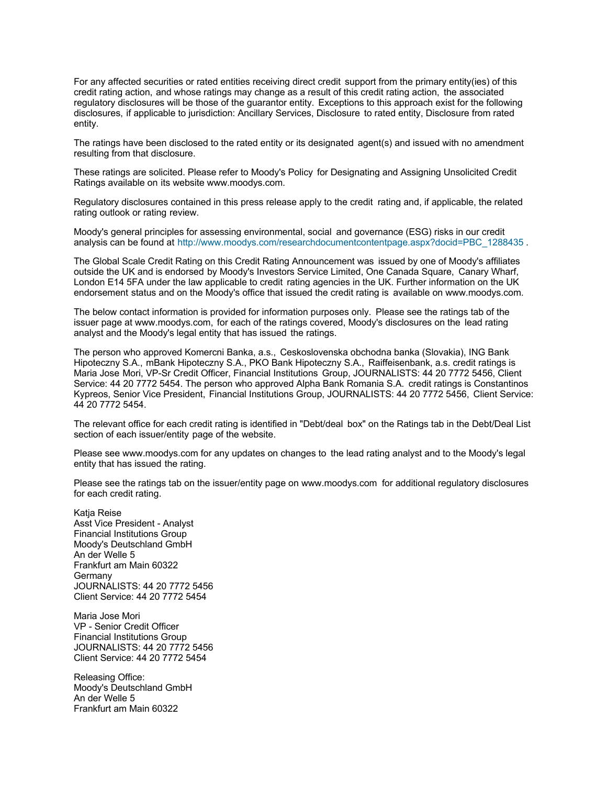For any affected securities or rated entities receiving direct credit support from the primary entity(ies) of this credit rating action, and whose ratings may change as a result of this credit rating action, the associated regulatory disclosures will be those of the guarantor entity. Exceptions to this approach exist for the following disclosures, if applicable to jurisdiction: Ancillary Services, Disclosure to rated entity, Disclosure from rated entity.

The ratings have been disclosed to the rated entity or its designated agent(s) and issued with no amendment resulting from that disclosure.

These ratings are solicited. Please refer to Moody's Policy for Designating and Assigning Unsolicited Credit Ratings available on its website www.moodys.com.

Regulatory disclosures contained in this press release apply to the credit rating and, if applicable, the related rating outlook or rating review.

Moody's general principles for assessing environmental, social and governance (ESG) risks in our credit analysis can be found at [http://www.moodys.com/researchdocumentcontentpage.aspx?docid=PBC\\_1288435](http://www.moodys.com/researchdocumentcontentpage.aspx?docid=PBC_1288435)

The Global Scale Credit Rating on this Credit Rating Announcement was issued by one of Moody's affiliates outside the UK and is endorsed by Moody's Investors Service Limited, One Canada Square, Canary Wharf, London E14 5FA under the law applicable to credit rating agencies in the UK. Further information on the UK endorsement status and on the Moody's office that issued the credit rating is available on www.moodys.com.

The below contact information is provided for information purposes only. Please see the ratings tab of the issuer page at www.moodys.com, for each of the ratings covered, Moody's disclosures on the lead rating analyst and the Moody's legal entity that has issued the ratings.

The person who approved Komercni Banka, a.s., Ceskoslovenska obchodna banka (Slovakia), ING Bank Hipoteczny S.A., mBank Hipoteczny S.A., PKO Bank Hipoteczny S.A., Raiffeisenbank, a.s. credit ratings is Maria Jose Mori, VP-Sr Credit Officer, Financial Institutions Group, JOURNALISTS: 44 20 7772 5456, Client Service: 44 20 7772 5454. The person who approved Alpha Bank Romania S.A. credit ratings is Constantinos Kypreos, Senior Vice President, Financial Institutions Group, JOURNALISTS: 44 20 7772 5456, Client Service: 44 20 7772 5454.

The relevant office for each credit rating is identified in "Debt/deal box" on the Ratings tab in the Debt/Deal List section of each issuer/entity page of the website.

Please see www.moodys.com for any updates on changes to the lead rating analyst and to the Moody's legal entity that has issued the rating.

Please see the ratings tab on the issuer/entity page on www.moodys.com for additional regulatory disclosures for each credit rating.

Katja Reise Asst Vice President - Analyst Financial Institutions Group Moody's Deutschland GmbH An der Welle 5 Frankfurt am Main 60322 Germany JOURNALISTS: 44 20 7772 5456 Client Service: 44 20 7772 5454

Maria Jose Mori VP - Senior Credit Officer Financial Institutions Group JOURNALISTS: 44 20 7772 5456 Client Service: 44 20 7772 5454

Releasing Office: Moody's Deutschland GmbH An der Welle 5 Frankfurt am Main 60322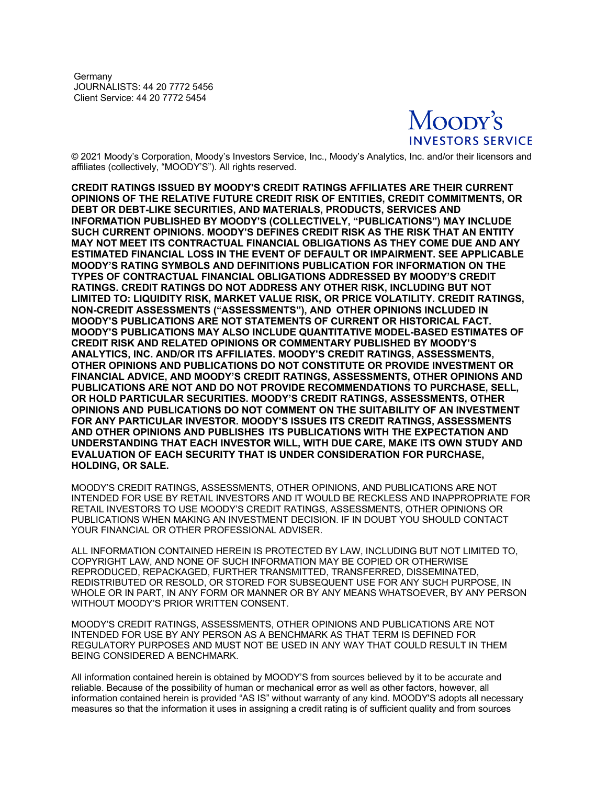**Germany** JOURNALISTS: 44 20 7772 5456 Client Service: 44 20 7772 5454



© 2021 Moody's Corporation, Moody's Investors Service, Inc., Moody's Analytics, Inc. and/or their licensors and affiliates (collectively, "MOODY'S"). All rights reserved.

**CREDIT RATINGS ISSUED BY MOODY'S CREDIT RATINGS AFFILIATES ARE THEIR CURRENT OPINIONS OF THE RELATIVE FUTURE CREDIT RISK OF ENTITIES, CREDIT COMMITMENTS, OR DEBT OR DEBT-LIKE SECURITIES, AND MATERIALS, PRODUCTS, SERVICES AND INFORMATION PUBLISHED BY MOODY'S (COLLECTIVELY, "PUBLICATIONS") MAY INCLUDE SUCH CURRENT OPINIONS. MOODY'S DEFINES CREDIT RISK AS THE RISK THAT AN ENTITY MAY NOT MEET ITS CONTRACTUAL FINANCIAL OBLIGATIONS AS THEY COME DUE AND ANY ESTIMATED FINANCIAL LOSS IN THE EVENT OF DEFAULT OR IMPAIRMENT. SEE APPLICABLE MOODY'S RATING SYMBOLS AND DEFINITIONS PUBLICATION FOR INFORMATION ON THE TYPES OF CONTRACTUAL FINANCIAL OBLIGATIONS ADDRESSED BY MOODY'S CREDIT RATINGS. CREDIT RATINGS DO NOT ADDRESS ANY OTHER RISK, INCLUDING BUT NOT LIMITED TO: LIQUIDITY RISK, MARKET VALUE RISK, OR PRICE VOLATILITY. CREDIT RATINGS, NON-CREDIT ASSESSMENTS ("ASSESSMENTS"), AND OTHER OPINIONS INCLUDED IN MOODY'S PUBLICATIONS ARE NOT STATEMENTS OF CURRENT OR HISTORICAL FACT. MOODY'S PUBLICATIONS MAY ALSO INCLUDE QUANTITATIVE MODEL-BASED ESTIMATES OF CREDIT RISK AND RELATED OPINIONS OR COMMENTARY PUBLISHED BY MOODY'S ANALYTICS, INC. AND/OR ITS AFFILIATES. MOODY'S CREDIT RATINGS, ASSESSMENTS, OTHER OPINIONS AND PUBLICATIONS DO NOT CONSTITUTE OR PROVIDE INVESTMENT OR FINANCIAL ADVICE, AND MOODY'S CREDIT RATINGS, ASSESSMENTS, OTHER OPINIONS AND PUBLICATIONS ARE NOT AND DO NOT PROVIDE RECOMMENDATIONS TO PURCHASE, SELL, OR HOLD PARTICULAR SECURITIES. MOODY'S CREDIT RATINGS, ASSESSMENTS, OTHER OPINIONS AND PUBLICATIONS DO NOT COMMENT ON THE SUITABILITY OF AN INVESTMENT FOR ANY PARTICULAR INVESTOR. MOODY'S ISSUES ITS CREDIT RATINGS, ASSESSMENTS AND OTHER OPINIONS AND PUBLISHES ITS PUBLICATIONS WITH THE EXPECTATION AND UNDERSTANDING THAT EACH INVESTOR WILL, WITH DUE CARE, MAKE ITS OWN STUDY AND EVALUATION OF EACH SECURITY THAT IS UNDER CONSIDERATION FOR PURCHASE, HOLDING, OR SALE.** 

MOODY'S CREDIT RATINGS, ASSESSMENTS, OTHER OPINIONS, AND PUBLICATIONS ARE NOT INTENDED FOR USE BY RETAIL INVESTORS AND IT WOULD BE RECKLESS AND INAPPROPRIATE FOR RETAIL INVESTORS TO USE MOODY'S CREDIT RATINGS, ASSESSMENTS, OTHER OPINIONS OR PUBLICATIONS WHEN MAKING AN INVESTMENT DECISION. IF IN DOUBT YOU SHOULD CONTACT YOUR FINANCIAL OR OTHER PROFESSIONAL ADVISER.

ALL INFORMATION CONTAINED HEREIN IS PROTECTED BY LAW, INCLUDING BUT NOT LIMITED TO, COPYRIGHT LAW, AND NONE OF SUCH INFORMATION MAY BE COPIED OR OTHERWISE REPRODUCED, REPACKAGED, FURTHER TRANSMITTED, TRANSFERRED, DISSEMINATED, REDISTRIBUTED OR RESOLD, OR STORED FOR SUBSEQUENT USE FOR ANY SUCH PURPOSE, IN WHOLE OR IN PART, IN ANY FORM OR MANNER OR BY ANY MEANS WHATSOEVER, BY ANY PERSON WITHOUT MOODY'S PRIOR WRITTEN CONSENT.

MOODY'S CREDIT RATINGS, ASSESSMENTS, OTHER OPINIONS AND PUBLICATIONS ARE NOT INTENDED FOR USE BY ANY PERSON AS A BENCHMARK AS THAT TERM IS DEFINED FOR REGULATORY PURPOSES AND MUST NOT BE USED IN ANY WAY THAT COULD RESULT IN THEM BEING CONSIDERED A BENCHMARK.

All information contained herein is obtained by MOODY'S from sources believed by it to be accurate and reliable. Because of the possibility of human or mechanical error as well as other factors, however, all information contained herein is provided "AS IS" without warranty of any kind. MOODY'S adopts all necessary measures so that the information it uses in assigning a credit rating is of sufficient quality and from sources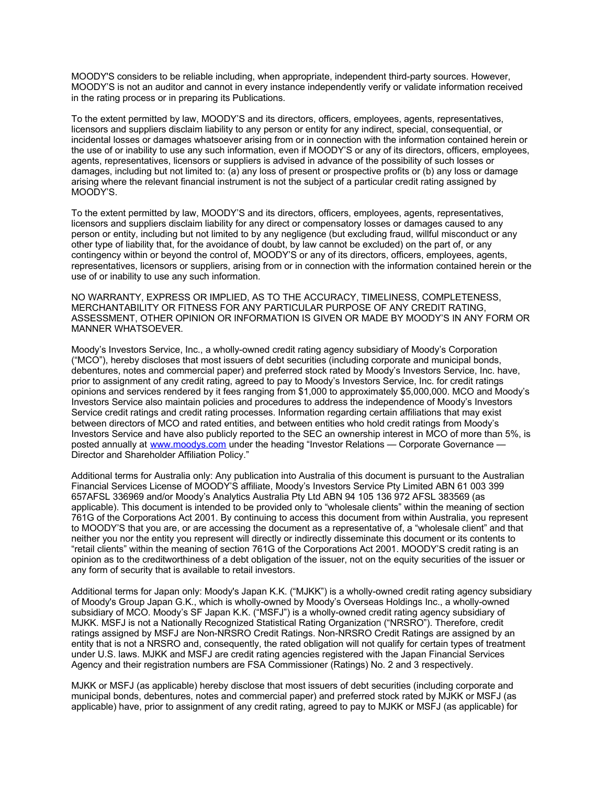MOODY'S considers to be reliable including, when appropriate, independent third-party sources. However, MOODY'S is not an auditor and cannot in every instance independently verify or validate information received in the rating process or in preparing its Publications.

To the extent permitted by law, MOODY'S and its directors, officers, employees, agents, representatives, licensors and suppliers disclaim liability to any person or entity for any indirect, special, consequential, or incidental losses or damages whatsoever arising from or in connection with the information contained herein or the use of or inability to use any such information, even if MOODY'S or any of its directors, officers, employees, agents, representatives, licensors or suppliers is advised in advance of the possibility of such losses or damages, including but not limited to: (a) any loss of present or prospective profits or (b) any loss or damage arising where the relevant financial instrument is not the subject of a particular credit rating assigned by MOODY'S.

To the extent permitted by law, MOODY'S and its directors, officers, employees, agents, representatives, licensors and suppliers disclaim liability for any direct or compensatory losses or damages caused to any person or entity, including but not limited to by any negligence (but excluding fraud, willful misconduct or any other type of liability that, for the avoidance of doubt, by law cannot be excluded) on the part of, or any contingency within or beyond the control of, MOODY'S or any of its directors, officers, employees, agents, representatives, licensors or suppliers, arising from or in connection with the information contained herein or the use of or inability to use any such information.

NO WARRANTY, EXPRESS OR IMPLIED, AS TO THE ACCURACY, TIMELINESS, COMPLETENESS, MERCHANTABILITY OR FITNESS FOR ANY PARTICULAR PURPOSE OF ANY CREDIT RATING, ASSESSMENT, OTHER OPINION OR INFORMATION IS GIVEN OR MADE BY MOODY'S IN ANY FORM OR MANNER WHATSOEVER.

Moody's Investors Service, Inc., a wholly-owned credit rating agency subsidiary of Moody's Corporation ("MCO"), hereby discloses that most issuers of debt securities (including corporate and municipal bonds, debentures, notes and commercial paper) and preferred stock rated by Moody's Investors Service, Inc. have, prior to assignment of any credit rating, agreed to pay to Moody's Investors Service, Inc. for credit ratings opinions and services rendered by it fees ranging from \$1,000 to approximately \$5,000,000. MCO and Moody's Investors Service also maintain policies and procedures to address the independence of Moody's Investors Service credit ratings and credit rating processes. Information regarding certain affiliations that may exist between directors of MCO and rated entities, and between entities who hold credit ratings from Moody's Investors Service and have also publicly reported to the SEC an ownership interest in MCO of more than 5%, is posted annually at [www.moodys.com](http://www.moodys.com/) under the heading "Investor Relations — Corporate Governance — Director and Shareholder Affiliation Policy."

Additional terms for Australia only: Any publication into Australia of this document is pursuant to the Australian Financial Services License of MOODY'S affiliate, Moody's Investors Service Pty Limited ABN 61 003 399 657AFSL 336969 and/or Moody's Analytics Australia Pty Ltd ABN 94 105 136 972 AFSL 383569 (as applicable). This document is intended to be provided only to "wholesale clients" within the meaning of section 761G of the Corporations Act 2001. By continuing to access this document from within Australia, you represent to MOODY'S that you are, or are accessing the document as a representative of, a "wholesale client" and that neither you nor the entity you represent will directly or indirectly disseminate this document or its contents to "retail clients" within the meaning of section 761G of the Corporations Act 2001. MOODY'S credit rating is an opinion as to the creditworthiness of a debt obligation of the issuer, not on the equity securities of the issuer or any form of security that is available to retail investors.

Additional terms for Japan only: Moody's Japan K.K. ("MJKK") is a wholly-owned credit rating agency subsidiary of Moody's Group Japan G.K., which is wholly-owned by Moody's Overseas Holdings Inc., a wholly-owned subsidiary of MCO. Moody's SF Japan K.K. ("MSFJ") is a wholly-owned credit rating agency subsidiary of MJKK. MSFJ is not a Nationally Recognized Statistical Rating Organization ("NRSRO"). Therefore, credit ratings assigned by MSFJ are Non-NRSRO Credit Ratings. Non-NRSRO Credit Ratings are assigned by an entity that is not a NRSRO and, consequently, the rated obligation will not qualify for certain types of treatment under U.S. laws. MJKK and MSFJ are credit rating agencies registered with the Japan Financial Services Agency and their registration numbers are FSA Commissioner (Ratings) No. 2 and 3 respectively.

MJKK or MSFJ (as applicable) hereby disclose that most issuers of debt securities (including corporate and municipal bonds, debentures, notes and commercial paper) and preferred stock rated by MJKK or MSFJ (as applicable) have, prior to assignment of any credit rating, agreed to pay to MJKK or MSFJ (as applicable) for